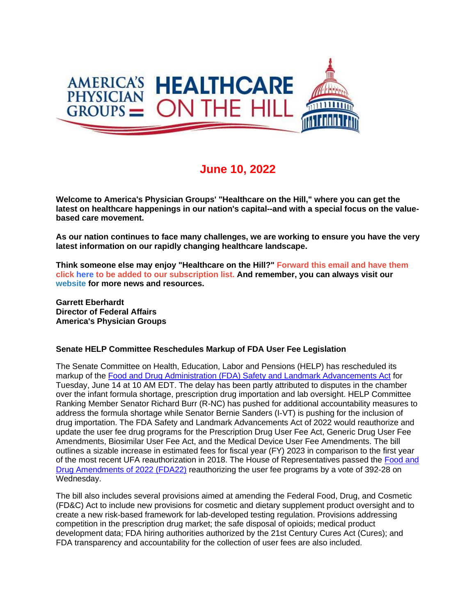

## **June 10, 2022**

**Welcome to America's Physician Groups' "Healthcare on the Hill," where you can get the latest on healthcare happenings in our nation's capital--and with a special focus on the valuebased care movement.**

**As our nation continues to face many challenges, we are working to ensure you have the very latest information on our rapidly changing healthcare landscape.**

**Think someone else may enjoy "Healthcare on the Hill?" Forward this email and have them click here to be added to our subscription list. And remember, you can always visit our website for more news and resources.**

**Garrett Eberhardt Director of Federal Affairs America's Physician Groups**

## **Senate HELP Committee Reschedules Markup of FDA User Fee Legislation**

The Senate Committee on Health, Education, Labor and Pensions (HELP) has rescheduled its markup of the [Food and Drug Administration \(FDA\) Safety and Landmark Advancements Act](http://link.apg.org/c/7/eyJhaSI6Njk4MDUxNDQsImUiOiJncGhpbGxpcHNAYXBnLm9yZyIsInJpIjoiY29udGFjdC03YWMxOTAzZjFkYzVlYTExYTgxMjAwMGQzYTVhMTdlMy02NDQ0Y2Y5ZWY5NGU0ZjBiYjk1MWQzMGE3MjJjYTk3NSIsInJxIjoiMDItYjIyMTYxLTlkODI0MTljNDg5ZjRmMzdhOWU1MzRlMWY4ODg5NzJhIiwicGgiOm51bGwsIm0iOmZhbHNlLCJ1aSI6IjIiLCJ1biI6IiIsInUiOiJodHRwczovL2ZpbGVzLmNvbnN0YW50Y29udGFjdC5jb20vZTdhOTBiZTQ3MDEvNDYxZDAxMDItMTcwMC00ZGUxLWJiNTEtZWY4Yjk3YmE3N2I4LnBkZj9yZHI9dHJ1ZSZfY2xkZWU9cFRWVFZuNnI0WUNjVDQ5RG4xMFNGVlNmdU1aQ0d3NXJ5Um10LVhUdzIzUW8zQ0Jyc1ppenVXZXI2R3pJSkRrSiZyZWNpcGllbnRpZD1jb250YWN0LTdhYzE5MDNmMWRjNWVhMTFhODEyMDAwZDNhNWExN2UzLTY0NDRjZjllZjk0ZTRmMGJiOTUxZDMwYTcyMmNhOTc1JmVzaWQ9MWI5YTJjOGYtMzRlOC1lYzExLWJiM2MtMDAwZDNhMzM0NjgyIn0/e-oGK9ks7V1IgFnIkYy5bQ) for Tuesday, June 14 at 10 AM EDT. The delay has been partly attributed to disputes in the chamber over the infant formula shortage, prescription drug importation and lab oversight. HELP Committee Ranking Member Senator Richard Burr (R-NC) has pushed for additional accountability measures to address the formula shortage while Senator Bernie Sanders (I-VT) is pushing for the inclusion of drug importation. The FDA Safety and Landmark Advancements Act of 2022 would reauthorize and update the user fee drug programs for the Prescription Drug User Fee Act, Generic Drug User Fee Amendments, Biosimilar User Fee Act, and the Medical Device User Fee Amendments. The bill outlines a sizable increase in estimated fees for fiscal year (FY) 2023 in comparison to the first year of the most recent UFA reauthorization in 2018. The House of Representatives passed the [Food and](http://link.apg.org/c/7/eyJhaSI6Njk4MDUxNDQsImUiOiJncGhpbGxpcHNAYXBnLm9yZyIsInJpIjoiY29udGFjdC03YWMxOTAzZjFkYzVlYTExYTgxMjAwMGQzYTVhMTdlMy02NDQ0Y2Y5ZWY5NGU0ZjBiYjk1MWQzMGE3MjJjYTk3NSIsInJxIjoiMDItYjIyMTYxLTlkODI0MTljNDg5ZjRmMzdhOWU1MzRlMWY4ODg5NzJhIiwicGgiOm51bGwsIm0iOmZhbHNlLCJ1aSI6IjMiLCJ1biI6IiIsInUiOiJodHRwczovL3d3dy5jb25ncmVzcy5nb3YvMTE3L2JpbGxzL2hyNzY2Ny9CSUxMUy0xMTdocjc2NjdyaC5wZGY_X2NsZGVlPXBUVlRWbjZyNFlDY1Q0OURuMTBTRlZTZnVNWkNHdzVyeVJtdC1YVHcyM1FvM0NCcnNaaXp1V2VyNkd6SUpEa0omcmVjaXBpZW50aWQ9Y29udGFjdC03YWMxOTAzZjFkYzVlYTExYTgxMjAwMGQzYTVhMTdlMy02NDQ0Y2Y5ZWY5NGU0ZjBiYjk1MWQzMGE3MjJjYTk3NSZlc2lkPTFiOWEyYzhmLTM0ZTgtZWMxMS1iYjNjLTAwMGQzYTMzNDY4MiJ9/rzb_v_wlxEwoyEXck8Jdaw)  [Drug Amendments of 2022 \(FDA22\)](http://link.apg.org/c/7/eyJhaSI6Njk4MDUxNDQsImUiOiJncGhpbGxpcHNAYXBnLm9yZyIsInJpIjoiY29udGFjdC03YWMxOTAzZjFkYzVlYTExYTgxMjAwMGQzYTVhMTdlMy02NDQ0Y2Y5ZWY5NGU0ZjBiYjk1MWQzMGE3MjJjYTk3NSIsInJxIjoiMDItYjIyMTYxLTlkODI0MTljNDg5ZjRmMzdhOWU1MzRlMWY4ODg5NzJhIiwicGgiOm51bGwsIm0iOmZhbHNlLCJ1aSI6IjMiLCJ1biI6IiIsInUiOiJodHRwczovL3d3dy5jb25ncmVzcy5nb3YvMTE3L2JpbGxzL2hyNzY2Ny9CSUxMUy0xMTdocjc2NjdyaC5wZGY_X2NsZGVlPXBUVlRWbjZyNFlDY1Q0OURuMTBTRlZTZnVNWkNHdzVyeVJtdC1YVHcyM1FvM0NCcnNaaXp1V2VyNkd6SUpEa0omcmVjaXBpZW50aWQ9Y29udGFjdC03YWMxOTAzZjFkYzVlYTExYTgxMjAwMGQzYTVhMTdlMy02NDQ0Y2Y5ZWY5NGU0ZjBiYjk1MWQzMGE3MjJjYTk3NSZlc2lkPTFiOWEyYzhmLTM0ZTgtZWMxMS1iYjNjLTAwMGQzYTMzNDY4MiJ9/rzb_v_wlxEwoyEXck8Jdaw) reauthorizing the user fee programs by a vote of 392-28 on Wednesday.

The bill also includes several provisions aimed at amending the Federal Food, Drug, and Cosmetic (FD&C) Act to include new provisions for cosmetic and dietary supplement product oversight and to create a new risk-based framework for lab-developed testing regulation. Provisions addressing competition in the prescription drug market; the safe disposal of opioids; medical product development data; FDA hiring authorities authorized by the 21st Century Cures Act (Cures); and FDA transparency and accountability for the collection of user fees are also included.